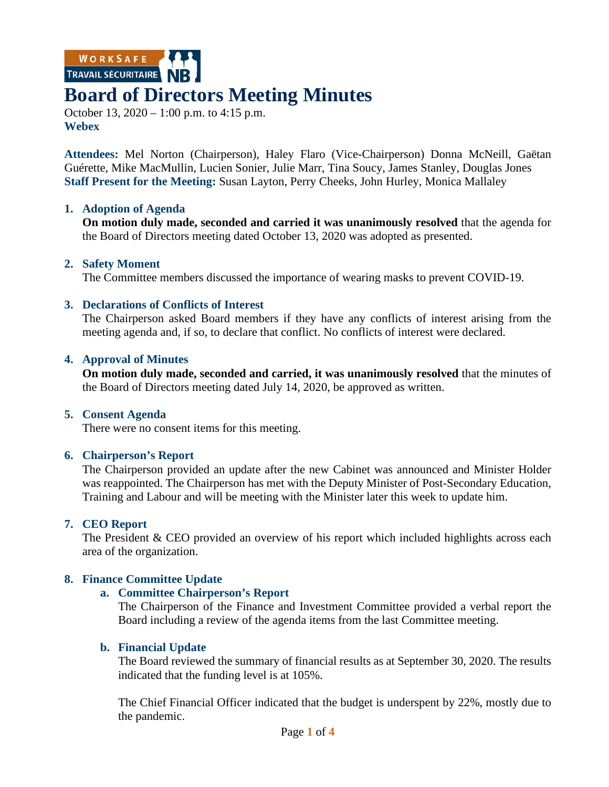WORKSAFE

# **Board of Directors Meeting Minutes**

October 13, 2020 – 1:00 p.m. to 4:15 p.m. **Webex**

**Attendees:** Mel Norton (Chairperson), Haley Flaro (Vice-Chairperson) Donna McNeill, Gaëtan Guérette, Mike MacMullin, Lucien Sonier, Julie Marr, Tina Soucy, James Stanley, Douglas Jones **Staff Present for the Meeting:** Susan Layton, Perry Cheeks, John Hurley, Monica Mallaley

#### **1. Adoption of Agenda**

**On motion duly made, seconded and carried it was unanimously resolved** that the agenda for the Board of Directors meeting dated October 13, 2020 was adopted as presented.

#### **2. Safety Moment**

The Committee members discussed the importance of wearing masks to prevent COVID-19.

#### **3. Declarations of Conflicts of Interest**

The Chairperson asked Board members if they have any conflicts of interest arising from the meeting agenda and, if so, to declare that conflict. No conflicts of interest were declared.

#### **4. Approval of Minutes**

**On motion duly made, seconded and carried, it was unanimously resolved** that the minutes of the Board of Directors meeting dated July 14, 2020, be approved as written.

#### **5. Consent Agenda**

There were no consent items for this meeting.

# **6. Chairperson's Report**

The Chairperson provided an update after the new Cabinet was announced and Minister Holder was reappointed. The Chairperson has met with the Deputy Minister of Post-Secondary Education, Training and Labour and will be meeting with the Minister later this week to update him.

# **7. CEO Report**

The President & CEO provided an overview of his report which included highlights across each area of the organization.

# **8. Finance Committee Update**

#### **a. Committee Chairperson's Report**

The Chairperson of the Finance and Investment Committee provided a verbal report the Board including a review of the agenda items from the last Committee meeting.

#### **b. Financial Update**

The Board reviewed the summary of financial results as at September 30, 2020. The results indicated that the funding level is at 105%.

The Chief Financial Officer indicated that the budget is underspent by 22%, mostly due to the pandemic.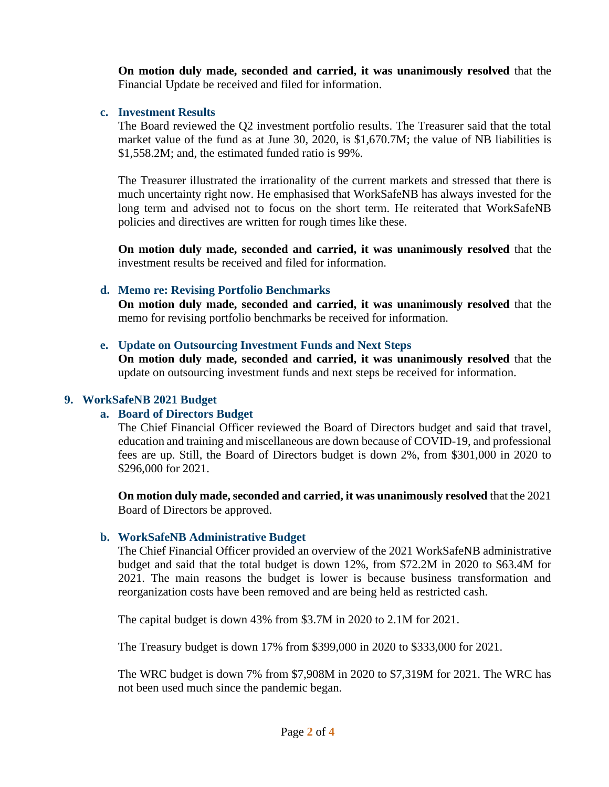**On motion duly made, seconded and carried, it was unanimously resolved** that the Financial Update be received and filed for information.

### **c. Investment Results**

The Board reviewed the Q2 investment portfolio results. The Treasurer said that the total market value of the fund as at June 30, 2020, is \$1,670.7M; the value of NB liabilities is \$1,558.2M; and, the estimated funded ratio is 99%.

The Treasurer illustrated the irrationality of the current markets and stressed that there is much uncertainty right now. He emphasised that WorkSafeNB has always invested for the long term and advised not to focus on the short term. He reiterated that WorkSafeNB policies and directives are written for rough times like these.

**On motion duly made, seconded and carried, it was unanimously resolved** that the investment results be received and filed for information.

# **d. Memo re: Revising Portfolio Benchmarks**

**On motion duly made, seconded and carried, it was unanimously resolved** that the memo for revising portfolio benchmarks be received for information.

#### **e. Update on Outsourcing Investment Funds and Next Steps**

**On motion duly made, seconded and carried, it was unanimously resolved** that the update on outsourcing investment funds and next steps be received for information.

### **9. WorkSafeNB 2021 Budget**

# **a. Board of Directors Budget**

The Chief Financial Officer reviewed the Board of Directors budget and said that travel, education and training and miscellaneous are down because of COVID-19, and professional fees are up. Still, the Board of Directors budget is down 2%, from \$301,000 in 2020 to \$296,000 for 2021.

**On motion duly made, seconded and carried, it was unanimously resolved** that the 2021 Board of Directors be approved.

# **b. WorkSafeNB Administrative Budget**

The Chief Financial Officer provided an overview of the 2021 WorkSafeNB administrative budget and said that the total budget is down 12%, from \$72.2M in 2020 to \$63.4M for 2021. The main reasons the budget is lower is because business transformation and reorganization costs have been removed and are being held as restricted cash.

The capital budget is down 43% from \$3.7M in 2020 to 2.1M for 2021.

The Treasury budget is down 17% from \$399,000 in 2020 to \$333,000 for 2021.

The WRC budget is down 7% from \$7,908M in 2020 to \$7,319M for 2021. The WRC has not been used much since the pandemic began.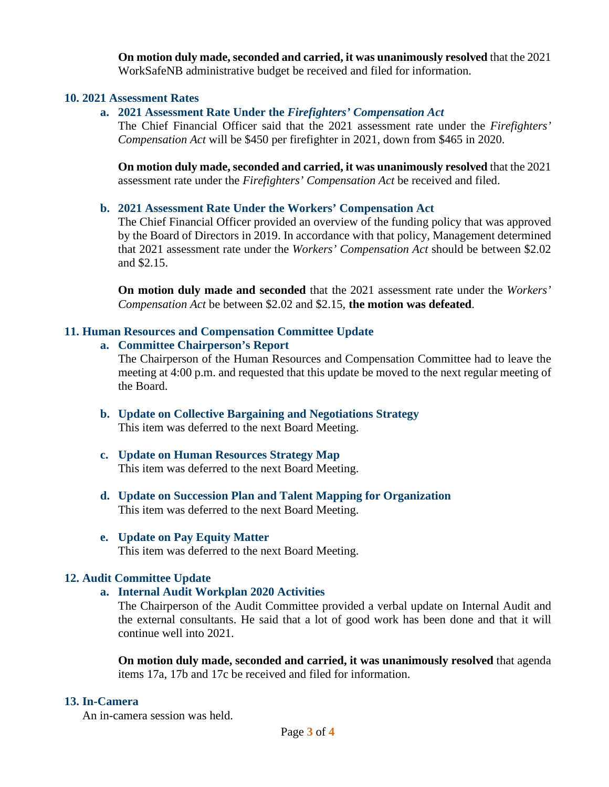**On motion duly made, seconded and carried, it was unanimously resolved** that the 2021 WorkSafeNB administrative budget be received and filed for information.

#### **10. 2021 Assessment Rates**

# **a. 2021 Assessment Rate Under the** *Firefighters' Compensation Act*

The Chief Financial Officer said that the 2021 assessment rate under the *Firefighters' Compensation Act* will be \$450 per firefighter in 2021, down from \$465 in 2020.

**On motion duly made, seconded and carried, it was unanimously resolved** that the 2021 assessment rate under the *Firefighters' Compensation Act* be received and filed.

# **b. 2021 Assessment Rate Under the Workers' Compensation Act**

The Chief Financial Officer provided an overview of the funding policy that was approved by the Board of Directors in 2019. In accordance with that policy, Management determined that 2021 assessment rate under the *Workers' Compensation Act* should be between \$2.02 and \$2.15.

**On motion duly made and seconded** that the 2021 assessment rate under the *Workers' Compensation Act* be between \$2.02 and \$2.15, **the motion was defeated**.

# **11. Human Resources and Compensation Committee Update**

#### **a. Committee Chairperson's Report**

The Chairperson of the Human Resources and Compensation Committee had to leave the meeting at 4:00 p.m. and requested that this update be moved to the next regular meeting of the Board.

- **b. Update on Collective Bargaining and Negotiations Strategy** This item was deferred to the next Board Meeting.
- **c. Update on Human Resources Strategy Map** This item was deferred to the next Board Meeting.
- **d. Update on Succession Plan and Talent Mapping for Organization** This item was deferred to the next Board Meeting.

#### **e. Update on Pay Equity Matter** This item was deferred to the next Board Meeting.

# **12. Audit Committee Update**

# **a. Internal Audit Workplan 2020 Activities**

The Chairperson of the Audit Committee provided a verbal update on Internal Audit and the external consultants. He said that a lot of good work has been done and that it will continue well into 2021.

**On motion duly made, seconded and carried, it was unanimously resolved** that agenda items 17a, 17b and 17c be received and filed for information.

# **13. In-Camera**

An in-camera session was held.